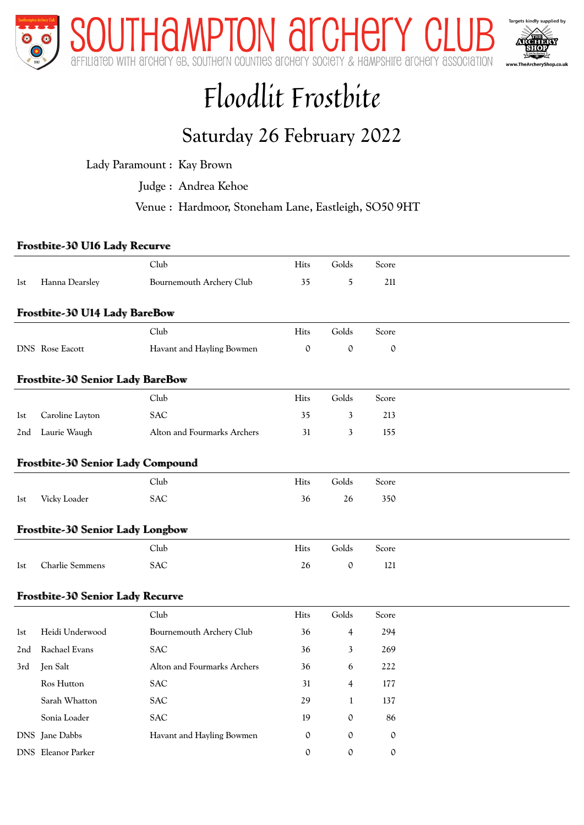

# Floodlit Frostbite

### Saturday 26 February 2022

Lady Paramount : Kay Brown

Judge : Andrea Kehoe

Venue : Hardmoor, Stoneham Lane, Eastleigh, SO50 9HT

#### Frostbite-30 U16 Lady Recurve

|                 |                                         | Club                        | Hits        | Golds          | Score       |  |
|-----------------|-----------------------------------------|-----------------------------|-------------|----------------|-------------|--|
| 1st             | Hanna Dearsley                          | Bournemouth Archery Club    | 35          | 5              | 211         |  |
|                 | Frostbite-30 U14 Lady BareBow           |                             |             |                |             |  |
|                 |                                         | Club                        | Hits        | Golds          | Score       |  |
|                 | DNS Rose Eacott                         | Havant and Hayling Bowmen   | $\mathbf 0$ | $\mathbf 0$    | $\mathbf 0$ |  |
|                 | <b>Frostbite-30 Senior Lady BareBow</b> |                             |             |                |             |  |
|                 |                                         | Club                        | Hits        | Golds          | Score       |  |
| 1st             | Caroline Layton                         | <b>SAC</b>                  | 35          | 3              | 213         |  |
| 2nd             | Laurie Waugh                            | Alton and Fourmarks Archers | 31          | 3              | 155         |  |
|                 | Frostbite-30 Senior Lady Compound       |                             |             |                |             |  |
|                 |                                         | Club                        | Hits        | Golds          | Score       |  |
| 1st             | Vicky Loader                            | <b>SAC</b>                  | 36          | 26             | 350         |  |
|                 | Frostbite-30 Senior Lady Longbow        |                             |             |                |             |  |
|                 |                                         | Club                        | Hits        | Golds          | Score       |  |
| 1st             | Charlie Semmens                         | <b>SAC</b>                  | 26          | $\mathfrak{0}$ | 121         |  |
|                 | <b>Frostbite-30 Senior Lady Recurve</b> |                             |             |                |             |  |
|                 |                                         | Club                        | Hits        | Golds          | Score       |  |
| 1st             | Heidi Underwood                         | Bournemouth Archery Club    | 36          | 4              | 294         |  |
| 2 <sub>nd</sub> | <b>Rachael Evans</b>                    | <b>SAC</b>                  | 36          | 3              | 269         |  |
| 3rd             | Jen Salt                                | Alton and Fourmarks Archers | 36          | 6              | 222         |  |
|                 | Ros Hutton                              | <b>SAC</b>                  | 31          | $\overline{4}$ | 177         |  |
|                 | Sarah Whatton                           | <b>SAC</b>                  | 29          | $\mathbf{1}$   | 137         |  |
|                 | Sonia Loader                            | <b>SAC</b>                  | 19          | $\mathbf 0$    | 86          |  |
|                 | DNS Jane Dabbs                          | Havant and Hayling Bowmen   | $\mathbf 0$ | $\mathbf{0}$   | $\mathbf 0$ |  |
|                 | <b>DNS</b> Eleanor Parker               |                             | $\mathbf 0$ | $\mathbf 0$    | $\mathbf 0$ |  |